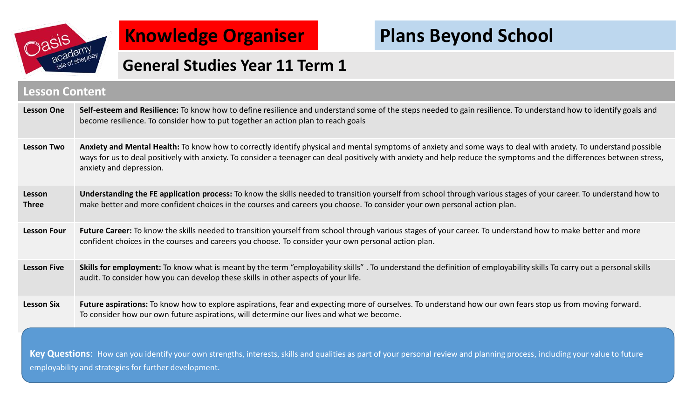

## **Knowledge Organiser**

# **Plans Beyond School**

### **General Studies Year 11 Term 1**

#### **Lesson Content**

| <b>Lesson One</b>      | Self-esteem and Resilience: To know how to define resilience and understand some of the steps needed to gain resilience. To understand how to identify goals and<br>become resilience. To consider how to put together an action plan to reach goals                                                                                                                |
|------------------------|---------------------------------------------------------------------------------------------------------------------------------------------------------------------------------------------------------------------------------------------------------------------------------------------------------------------------------------------------------------------|
| <b>Lesson Two</b>      | Anxiety and Mental Health: To know how to correctly identify physical and mental symptoms of anxiety and some ways to deal with anxiety. To understand possible<br>ways for us to deal positively with anxiety. To consider a teenager can deal positively with anxiety and help reduce the symptoms and the differences between stress,<br>anxiety and depression. |
| Lesson<br><b>Three</b> | Understanding the FE application process: To know the skills needed to transition yourself from school through various stages of your career. To understand how to<br>make better and more confident choices in the courses and careers you choose. To consider your own personal action plan.                                                                      |
| <b>Lesson Four</b>     | Future Career: To know the skills needed to transition yourself from school through various stages of your career. To understand how to make better and more<br>confident choices in the courses and careers you choose. To consider your own personal action plan.                                                                                                 |
| <b>Lesson Five</b>     | Skills for employment: To know what is meant by the term "employability skills". To understand the definition of employability skills To carry out a personal skills<br>audit. To consider how you can develop these skills in other aspects of your life.                                                                                                          |
| <b>Lesson Six</b>      | Future aspirations: To know how to explore aspirations, fear and expecting more of ourselves. To understand how our own fears stop us from moving forward.<br>To consider how our own future aspirations, will determine our lives and what we become.                                                                                                              |
|                        |                                                                                                                                                                                                                                                                                                                                                                     |

Key Questions: How can you identify your own strengths, interests, skills and qualities as part of your personal review and planning process, including your value to future employability and strategies for further development.